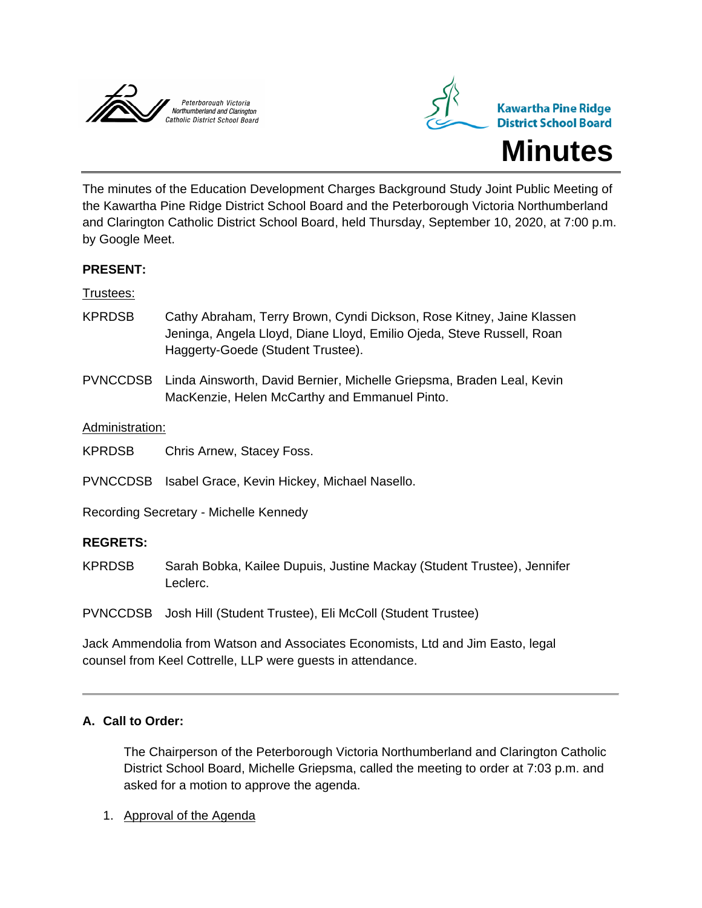



The minutes of the Education Development Charges Background Study Joint Public Meeting of the Kawartha Pine Ridge District School Board and the Peterborough Victoria Northumberland and Clarington Catholic District School Board, held Thursday, September 10, 2020, at 7:00 p.m. by Google Meet.

## **PRESENT:**

#### Trustees:

- KPRDSB Cathy Abraham, Terry Brown, Cyndi Dickson, Rose Kitney, Jaine Klassen Jeninga, Angela Lloyd, Diane Lloyd, Emilio Ojeda, Steve Russell, Roan Haggerty-Goede (Student Trustee).
- PVNCCDSB Linda Ainsworth, David Bernier, Michelle Griepsma, Braden Leal, Kevin MacKenzie, Helen McCarthy and Emmanuel Pinto.

#### Administration:

KPRDSB Chris Arnew, Stacey Foss.

PVNCCDSB Isabel Grace, Kevin Hickey, Michael Nasello.

Recording Secretary - Michelle Kennedy

#### **REGRETS:**

KPRDSB Sarah Bobka, Kailee Dupuis, Justine Mackay (Student Trustee), Jennifer Leclerc.

PVNCCDSB Josh Hill (Student Trustee), Eli McColl (Student Trustee)

Jack Ammendolia from Watson and Associates Economists, Ltd and Jim Easto, legal counsel from Keel Cottrelle, LLP were guests in attendance.

## **A. Call to Order:**

The Chairperson of the Peterborough Victoria Northumberland and Clarington Catholic District School Board, Michelle Griepsma, called the meeting to order at 7:03 p.m. and asked for a motion to approve the agenda.

1. Approval of the Agenda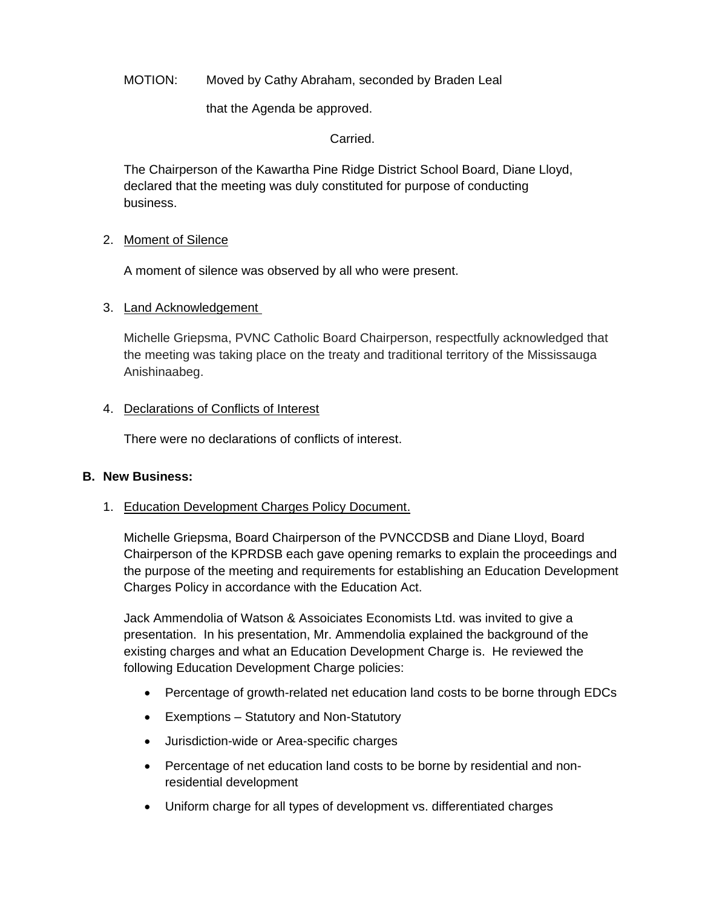MOTION: Moved by Cathy Abraham, seconded by Braden Leal

that the Agenda be approved.

Carried.

The Chairperson of the Kawartha Pine Ridge District School Board, Diane Lloyd, declared that the meeting was duly constituted for purpose of conducting business.

## 2. Moment of Silence

A moment of silence was observed by all who were present.

#### 3. Land Acknowledgement

Michelle Griepsma, PVNC Catholic Board Chairperson, respectfully acknowledged that the meeting was taking place on the treaty and traditional territory of the Mississauga Anishinaabeg.

#### 4. Declarations of Conflicts of Interest

There were no declarations of conflicts of interest.

#### **B. New Business:**

## 1. Education Development Charges Policy Document.

Michelle Griepsma, Board Chairperson of the PVNCCDSB and Diane Lloyd, Board Chairperson of the KPRDSB each gave opening remarks to explain the proceedings and the purpose of the meeting and requirements for establishing an Education Development Charges Policy in accordance with the Education Act.

Jack Ammendolia of Watson & Assoiciates Economists Ltd. was invited to give a presentation. In his presentation, Mr. Ammendolia explained the background of the existing charges and what an Education Development Charge is. He reviewed the following Education Development Charge policies:

- Percentage of growth-related net education land costs to be borne through EDCs
- Exemptions Statutory and Non-Statutory
- Jurisdiction-wide or Area-specific charges
- Percentage of net education land costs to be borne by residential and nonresidential development
- Uniform charge for all types of development vs. differentiated charges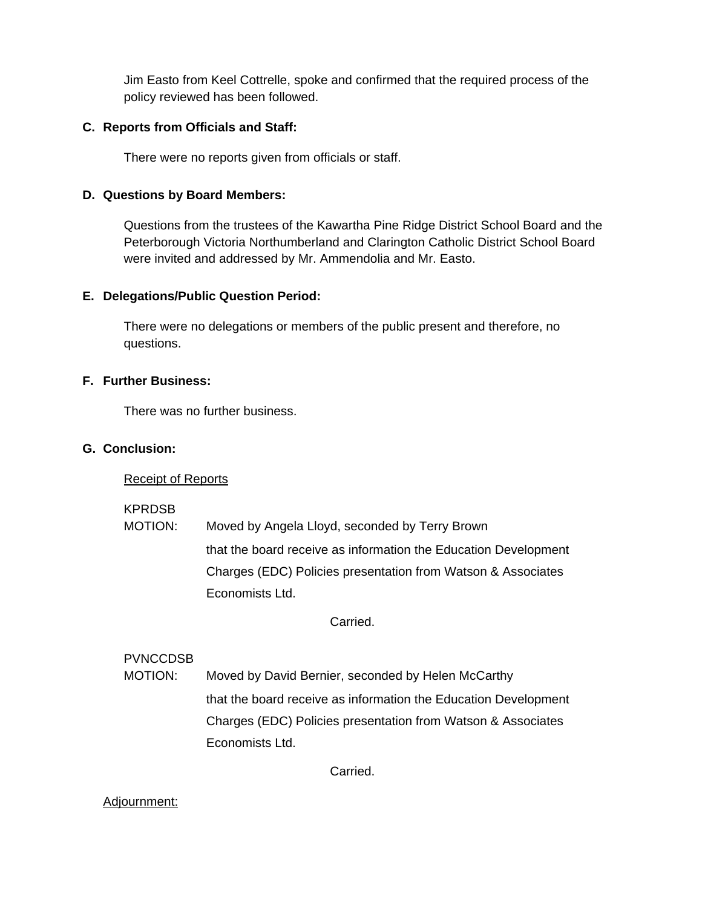Jim Easto from Keel Cottrelle, spoke and confirmed that the required process of the policy reviewed has been followed.

## **C. Reports from Officials and Staff:**

There were no reports given from officials or staff.

## **D. Questions by Board Members:**

Questions from the trustees of the Kawartha Pine Ridge District School Board and the Peterborough Victoria Northumberland and Clarington Catholic District School Board were invited and addressed by Mr. Ammendolia and Mr. Easto.

# **E. Delegations/Public Question Period:**

There were no delegations or members of the public present and therefore, no questions.

# **F. Further Business:**

There was no further business.

# **G. Conclusion:**

## Receipt of Reports

KPRDSB

MOTION: Moved by Angela Lloyd, seconded by Terry Brown that the board receive as information the Education Development Charges (EDC) Policies presentation from Watson & Associates Economists Ltd.

Carried.

# PVNCCDSB

MOTION: Moved by David Bernier, seconded by Helen McCarthy that the board receive as information the Education Development Charges (EDC) Policies presentation from Watson & Associates Economists Ltd.

Carried.

## Adjournment: